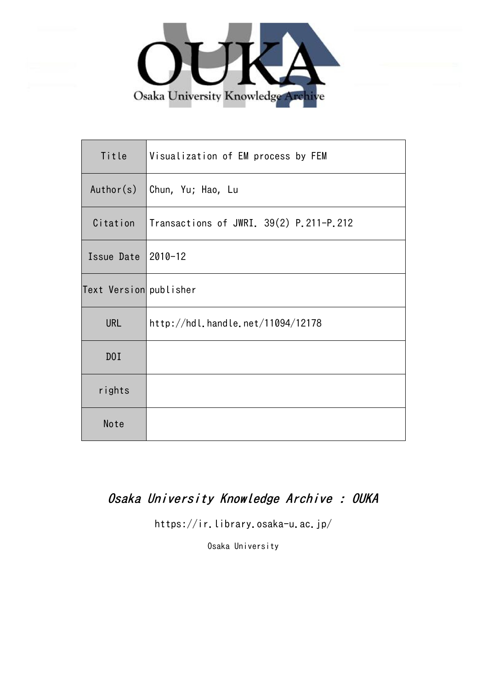

| Title                  | Visualization of EM process by FEM      |
|------------------------|-----------------------------------------|
| Author(s)              | Chun, Yu; Hao, Lu                       |
| Citation               | Transactions of JWRI. 39(2) P.211-P.212 |
| Issue Date 2010-12     |                                         |
| Text Version publisher |                                         |
| <b>URL</b>             | http://hdl.handle.net/11094/12178       |
| D0I                    |                                         |
| rights                 |                                         |
| Note                   |                                         |

# Osaka University Knowledge Archive : OUKA

https://ir.library.osaka-u.ac.jp/

Osaka University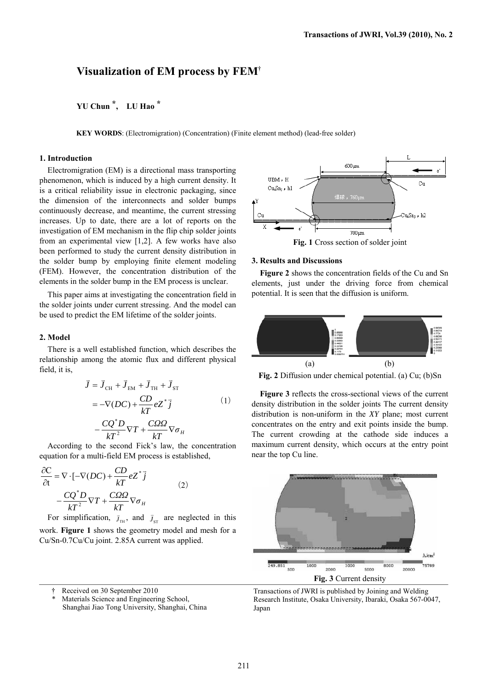## **Visualization of EM process by FEM**†

**YU Chun \*, LU Hao \***

**KEY WORDS**: (Electromigration) (Concentration) (Finite element method) (lead-free solder)

#### **1. Introduction**

Electromigration (EM) is a directional mass transporting phenomenon, which is induced by a high current density. It is a critical reliability issue in electronic packaging, since the dimension of the interconnects and solder bumps continuously decrease, and meantime, the current stressing increases. Up to date, there are a lot of reports on the investigation of EM mechanism in the flip chip solder joints from an experimental view [1,2]. A few works have also been performed to study the current density distribution in the solder bump by employing finite element modeling (FEM). However, the concentration distribution of the elements in the solder bump in the EM process is unclear.

This paper aims at investigating the concentration field in the solder joints under current stressing. And the model can be used to predict the EM lifetime of the solder joints.

#### **2. Model**

There is a well established function, which describes the relationship among the atomic flux and different physical field, it is,

$$
\vec{J} = \vec{J}_{CH} + \vec{J}_{EM} + \vec{J}_{TH} + \vec{J}_{ST}
$$

$$
= -\nabla (DC) + \frac{CD}{kT} eZ^{\dagger} \vec{j}
$$
(1)
$$
- \frac{CQ^{\dagger}D}{kT^2} \nabla T + \frac{C\Omega Q}{kT} \nabla \sigma_H
$$

According to the second Fick's law, the concentration equation for a multi-field EM process is established,

$$
\frac{\partial C}{\partial t} = \nabla \cdot \left[ -\nabla (DC) + \frac{CD}{kT} eZ^* \right]
$$

$$
- \frac{CQ^* D}{kT^2} \nabla T + \frac{C\Omega Q}{kT} \nabla \sigma_H
$$

$$
(2)
$$

For simplification,  $\bar{J}_{TH}$ , and  $\bar{J}_{ST}$  are neglected in this work. **Figure 1** shows the geometry model and mesh for a Cu/Sn-0.7Cu/Cu joint. 2.85A current was applied.

- † Received on 30 September 2010
- Materials Science and Engineering School, Shanghai Jiao Tong University, Shanghai, China



#### **3. Results and Discussions**

**Figure 2** shows the concentration fields of the Cu and Sn elements, just under the driving force from chemical potential. It is seen that the diffusion is uniform.



**Fig. 2** Diffusion under chemical potential. (a) Cu; (b)Sn

**Figure 3** reflects the cross-sectional views of the current density distribution in the solder joints The current density distribution is non-uniform in the *XY* plane; most current concentrates on the entry and exit points inside the bump. The current crowding at the cathode side induces a maximum current density, which occurs at the entry point near the top Cu line.



Transactions of JWRI is published by Joining and Welding Research Institute, Osaka University, Ibaraki, Osaka 567-0047, Japan